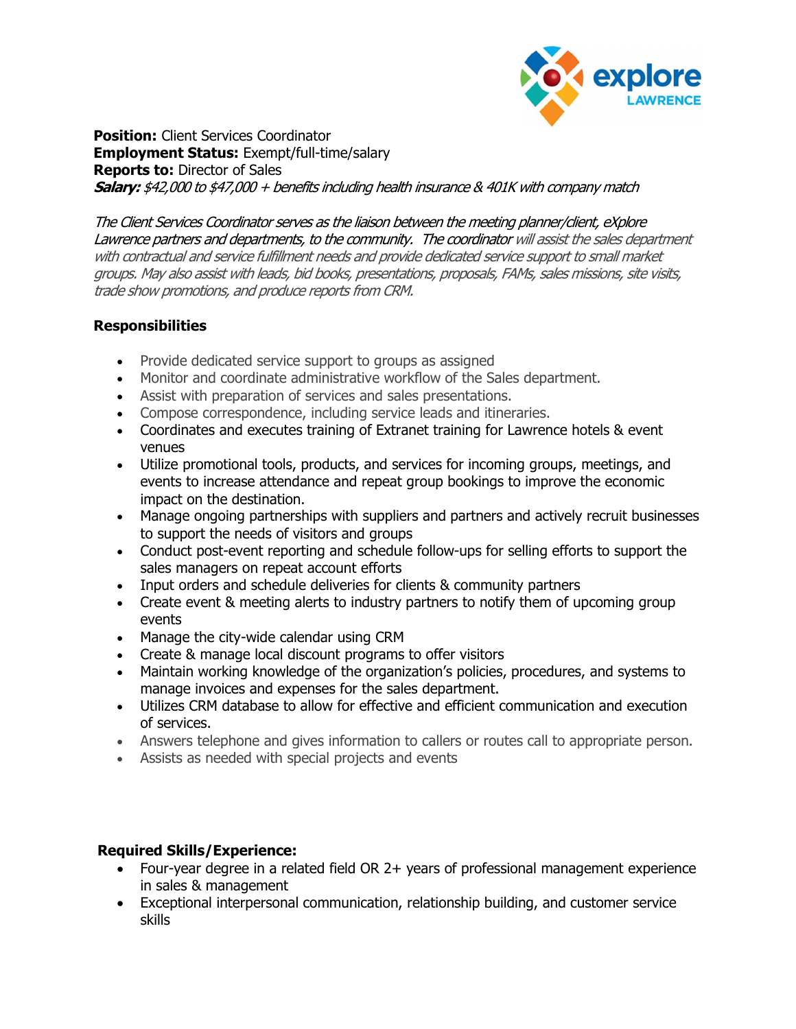

Position: Client Services Coordinator Employment Status: Exempt/full-time/salary Reports to: Director of Sales **Salary:** \$42,000 to \$47,000 + benefits including health insurance & 401K with company match

The Client Services Coordinator serves as the liaison between the meeting planner/client, eXplore Lawrence partners and departments, to the community. The coordinator will assist the sales department with contractual and service fulfillment needs and provide dedicated service support to small market groups. May also assist with leads, bid books, presentations, proposals, FAMs, sales missions, site visits, trade show promotions, and produce reports from CRM.

## **Responsibilities**

- Provide dedicated service support to groups as assigned
- Monitor and coordinate administrative workflow of the Sales department.
- Assist with preparation of services and sales presentations.
- Compose correspondence, including service leads and itineraries.
- Coordinates and executes training of Extranet training for Lawrence hotels & event venues
- Utilize promotional tools, products, and services for incoming groups, meetings, and events to increase attendance and repeat group bookings to improve the economic impact on the destination.
- Manage ongoing partnerships with suppliers and partners and actively recruit businesses to support the needs of visitors and groups
- Conduct post-event reporting and schedule follow-ups for selling efforts to support the sales managers on repeat account efforts
- Input orders and schedule deliveries for clients & community partners
- Create event & meeting alerts to industry partners to notify them of upcoming group events
- Manage the city-wide calendar using CRM
- Create & manage local discount programs to offer visitors
- Maintain working knowledge of the organization's policies, procedures, and systems to manage invoices and expenses for the sales department.
- Utilizes CRM database to allow for effective and efficient communication and execution of services.
- Answers telephone and gives information to callers or routes call to appropriate person.
- Assists as needed with special projects and events

## Required Skills/Experience:

- Four-year degree in a related field OR 2+ years of professional management experience in sales & management
- Exceptional interpersonal communication, relationship building, and customer service skills